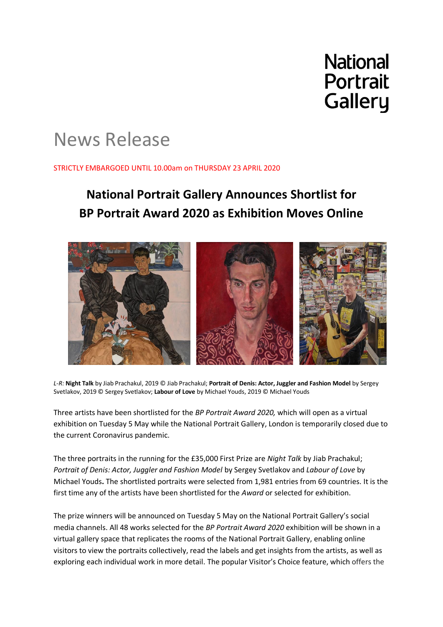**National Portrait Gallery** 

# News Release

# STRICTLY EMBARGOED UNTIL 10.00am on THURSDAY 23 APRIL 2020

# **National Portrait Gallery Announces Shortlist for BP Portrait Award 2020 as Exhibition Moves Online**



*L-R:* **Night Talk** by Jiab Prachakul, 2019 © Jiab Prachakul; **Portrait of Denis: Actor, Juggler and Fashion Model** by Sergey Svetlakov, 2019 © Sergey Svetlakov; **Labour of Love** by Michael Youds, 2019 © Michael Youds

Three artists have been shortlisted for the *BP Portrait Award 2020,* which will open as a virtual exhibition on Tuesday 5 May while the National Portrait Gallery, London is temporarily closed due to the current Coronavirus pandemic.

The three portraits in the running for the £35,000 First Prize are *Night Talk* by Jiab Prachakul; *Portrait of Denis: Actor, Juggler and Fashion Model* by Sergey Svetlakov and *Labour of Love* by Michael Youds**.** The shortlisted portraits were selected from 1,981 entries from 69 countries. It is the first time any of the artists have been shortlisted for the *Award* or selected for exhibition.

The prize winners will be announced on Tuesday 5 May on the National Portrait Gallery's social media channels. All 48 works selected for the *BP Portrait Award 2020* exhibition will be shown in a virtual gallery space that replicates the rooms of the National Portrait Gallery, enabling online visitors to view the portraits collectively, read the labels and get insights from the artists, as well as exploring each individual work in more detail. The popular Visitor's Choice feature, which offers the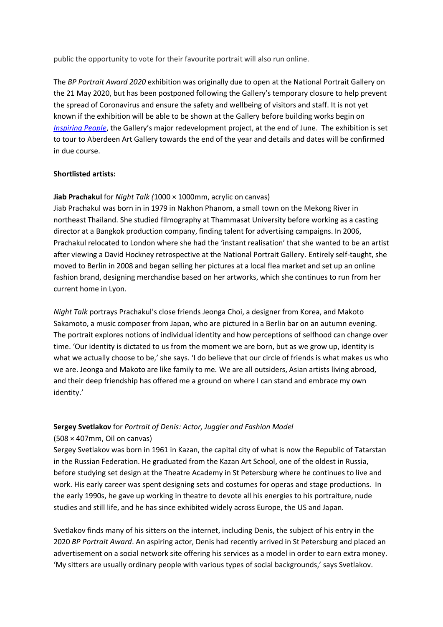public the opportunity to vote for their favourite portrait will also run online.

The *BP Portrait Award 2020* exhibition was originally due to open at the National Portrait Gallery on the 21 May 2020, but has been postponed following the Gallery's temporary closure to help prevent the spread of Coronavirus and ensure the safety and wellbeing of visitors and staff. It is not yet known if the exhibition will be able to be shown at the Gallery before building works begin on *[Inspiring People](http://www.npg.org.uk/inspiringpeople)*, the Gallery's major redevelopment project, at the end of June. The exhibition is set to tour to Aberdeen Art Gallery towards the end of the year and details and dates will be confirmed in due course.

## **Shortlisted artists:**

## **Jiab Prachakul** for *Night Talk (*1000 × 1000mm, acrylic on canvas)

Jiab Prachakul was born in in 1979 in Nakhon Phanom, a small town on the Mekong River in northeast Thailand. She studied filmography at Thammasat University before working as a casting director at a Bangkok production company, finding talent for advertising campaigns. In 2006, Prachakul relocated to London where she had the 'instant realisation' that she wanted to be an artist after viewing a David Hockney retrospective at the National Portrait Gallery. Entirely self-taught, she moved to Berlin in 2008 and began selling her pictures at a local flea market and set up an online fashion brand, designing merchandise based on her artworks, which she continues to run from her current home in Lyon.

*Night Talk* portrays Prachakul's close friends Jeonga Choi, a designer from Korea, and Makoto Sakamoto, a music composer from Japan, who are pictured in a Berlin bar on an autumn evening. The portrait explores notions of individual identity and how perceptions of selfhood can change over time. 'Our identity is dictated to us from the moment we are born, but as we grow up, identity is what we actually choose to be,' she says. 'I do believe that our circle of friends is what makes us who we are. Jeonga and Makoto are like family to me*.* We are all outsiders, Asian artists living abroad, and their deep friendship has offered me a ground on where I can stand and embrace my own identity.'

## **Sergey Svetlakov** for *Portrait of Denis: Actor, Juggler and Fashion Model*

## (508 × 407mm, Oil on canvas)

Sergey Svetlakov was born in 1961 in Kazan, the capital city of what is now the Republic of Tatarstan in the Russian Federation. He graduated from the Kazan Art School, one of the oldest in Russia, before studying set design at the Theatre Academy in St Petersburg where he continues to live and work. His early career was spent designing sets and costumes for operas and stage productions. In the early 1990s, he gave up working in theatre to devote all his energies to his portraiture, nude studies and still life, and he has since exhibited widely across Europe, the US and Japan.

Svetlakov finds many of his sitters on the internet, including Denis, the subject of his entry in the 2020 *BP Portrait Award*. An aspiring actor, Denis had recently arrived in St Petersburg and placed an advertisement on a social network site offering his services as a model in order to earn extra money. 'My sitters are usually ordinary people with various types of social backgrounds,' says Svetlakov.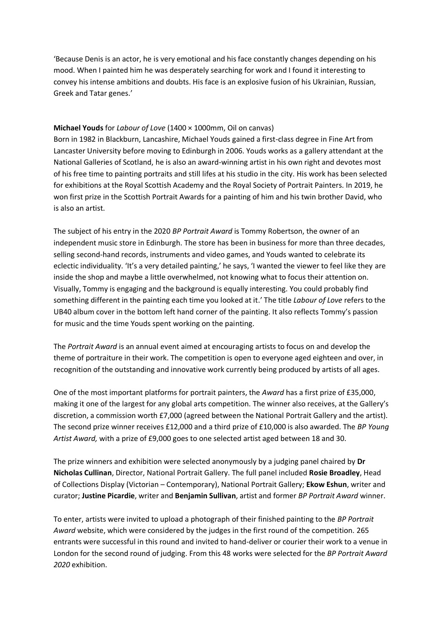'Because Denis is an actor, he is very emotional and his face constantly changes depending on his mood. When I painted him he was desperately searching for work and I found it interesting to convey his intense ambitions and doubts. His face is an explosive fusion of his Ukrainian, Russian, Greek and Tatar genes.'

# **Michael Youds** for *Labour of Love* (1400 × 1000mm, Oil on canvas)

Born in 1982 in Blackburn, Lancashire, Michael Youds gained a first-class degree in Fine Art from Lancaster University before moving to Edinburgh in 2006. Youds works as a gallery attendant at the National Galleries of Scotland, he is also an award-winning artist in his own right and devotes most of his free time to painting portraits and still lifes at his studio in the city. His work has been selected for exhibitions at the Royal Scottish Academy and the Royal Society of Portrait Painters. In 2019, he won first prize in the Scottish Portrait Awards for a painting of him and his twin brother David, who is also an artist.

The subject of his entry in the 2020 *BP Portrait Award* is Tommy Robertson, the owner of an independent music store in Edinburgh. The store has been in business for more than three decades, selling second-hand records, instruments and video games, and Youds wanted to celebrate its eclectic individuality. 'It's a very detailed painting,' he says, 'I wanted the viewer to feel like they are inside the shop and maybe a little overwhelmed, not knowing what to focus their attention on. Visually, Tommy is engaging and the background is equally interesting. You could probably find something different in the painting each time you looked at it.' The title *Labour of Love* refers to the UB40 album cover in the bottom left hand corner of the painting. It also reflects Tommy's passion for music and the time Youds spent working on the painting.

The *Portrait Award* is an annual event aimed at encouraging artists to focus on and develop the theme of portraiture in their work. The competition is open to everyone aged eighteen and over, in recognition of the outstanding and innovative work currently being produced by artists of all ages.

One of the most important platforms for portrait painters, the *Award* has a first prize of £35,000, making it one of the largest for any global arts competition. The winner also receives, at the Gallery's discretion, a commission worth £7,000 (agreed between the National Portrait Gallery and the artist). The second prize winner receives £12,000 and a third prize of £10,000 is also awarded. The *BP Young Artist Award,* with a prize of £9,000 goes to one selected artist aged between 18 and 30.

The prize winners and exhibition were selected anonymously by a judging panel chaired by **Dr Nicholas Cullinan**, Director, National Portrait Gallery. The full panel included **Rosie Broadley**, Head of Collections Display (Victorian – Contemporary), National Portrait Gallery; **Ekow Eshun**, writer and curator; **Justine Picardie**, writer and **Benjamin Sullivan**, artist and former *BP Portrait Award* winner.

To enter, artists were invited to upload a photograph of their finished painting to the *BP Portrait Award* website, which were considered by the judges in the first round of the competition. 265 entrants were successful in this round and invited to hand-deliver or courier their work to a venue in London for the second round of judging. From this 48 works were selected for the *BP Portrait Award 2020* exhibition.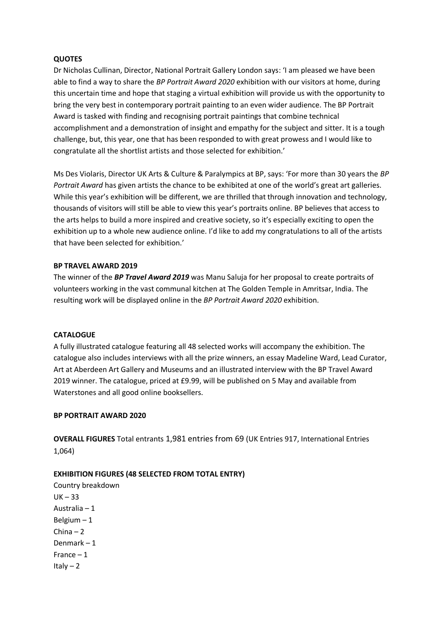## **QUOTES**

Dr Nicholas Cullinan, Director, National Portrait Gallery London says: 'I am pleased we have been able to find a way to share the *BP Portrait Award 2020* exhibition with our visitors at home, during this uncertain time and hope that staging a virtual exhibition will provide us with the opportunity to bring the very best in contemporary portrait painting to an even wider audience. The BP Portrait Award is tasked with finding and recognising portrait paintings that combine technical accomplishment and a demonstration of insight and empathy for the subject and sitter. It is a tough challenge, but, this year, one that has been responded to with great prowess and I would like to congratulate all the shortlist artists and those selected for exhibition.'

Ms Des Violaris, Director UK Arts & Culture & Paralympics at BP, says: 'For more than 30 years the *BP Portrait Award* has given artists the chance to be exhibited at one of the world's great art galleries. While this year's exhibition will be different, we are thrilled that through innovation and technology, thousands of visitors will still be able to view this year's portraits online. BP believes that access to the arts helps to build a more inspired and creative society, so it's especially exciting to open the exhibition up to a whole new audience online. I'd like to add my congratulations to all of the artists that have been selected for exhibition.'

## **BP TRAVEL AWARD 2019**

The winner of the *BP Travel Award 2019* was Manu Saluja for her proposal to create portraits of volunteers working in the vast communal kitchen at The Golden Temple in Amritsar, India. The resulting work will be displayed online in the *BP Portrait Award 2020* exhibition.

## **CATALOGUE**

A fully illustrated catalogue featuring all 48 selected works will accompany the exhibition. The catalogue also includes interviews with all the prize winners, an essay Madeline Ward, Lead Curator, Art at Aberdeen Art Gallery and Museums and an illustrated interview with the BP Travel Award 2019 winner. The catalogue, priced at £9.99, will be published on 5 May and available from Waterstones and all good online booksellers.

## **BP PORTRAIT AWARD 2020**

**OVERALL FIGURES** Total entrants 1,981 entries from 69 (UK Entries 917, International Entries 1,064)

## **EXHIBITION FIGURES (48 SELECTED FROM TOTAL ENTRY)**

Country breakdown  $UK - 33$ Australia – 1 Belgium – 1 China – 2 Denmark – 1 France – 1 Italy  $-2$